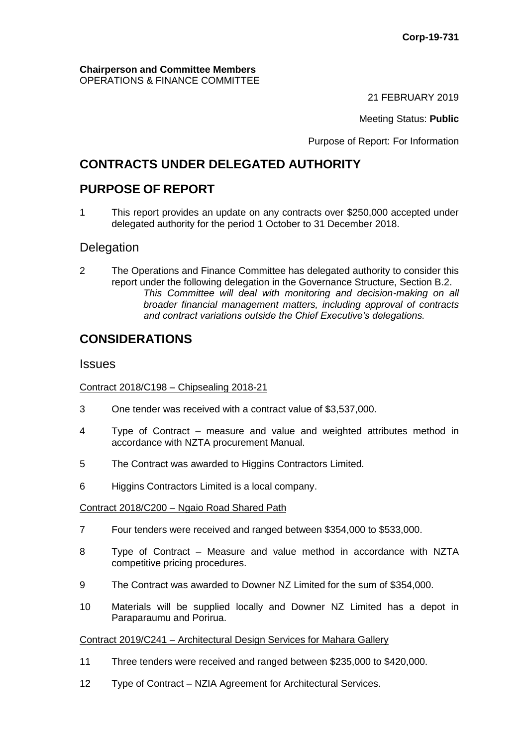### **Chairperson and Committee Members** OPERATIONS & FINANCE COMMITTEE

21 FEBRUARY 2019

Meeting Status: **Public**

Purpose of Report: For Information

# **CONTRACTS UNDER DELEGATED AUTHORITY**

## **PURPOSE OF REPORT**

1 This report provides an update on any contracts over \$250,000 accepted under delegated authority for the period 1 October to 31 December 2018.

## **Delegation**

2 The Operations and Finance Committee has delegated authority to consider this report under the following delegation in the Governance Structure, Section B.2. *This Committee will deal with monitoring and decision-making on all broader financial management matters, including approval of contracts and contract variations outside the Chief Executive's delegations.*

# **CONSIDERATIONS**

## **Issues**

### Contract 2018/C198 – Chipsealing 2018-21

- 3 One tender was received with a contract value of \$3,537,000.
- 4 Type of Contract measure and value and weighted attributes method in accordance with NZTA procurement Manual.
- 5 The Contract was awarded to Higgins Contractors Limited.
- 6 Higgins Contractors Limited is a local company.

#### Contract 2018/C200 – Ngaio Road Shared Path

- 7 Four tenders were received and ranged between \$354,000 to \$533,000.
- 8 Type of Contract Measure and value method in accordance with NZTA competitive pricing procedures.
- 9 The Contract was awarded to Downer NZ Limited for the sum of \$354,000.
- 10 Materials will be supplied locally and Downer NZ Limited has a depot in Paraparaumu and Porirua.

#### Contract 2019/C241 – Architectural Design Services for Mahara Gallery

- 11 Three tenders were received and ranged between \$235,000 to \$420,000.
- 12 Type of Contract NZIA Agreement for Architectural Services.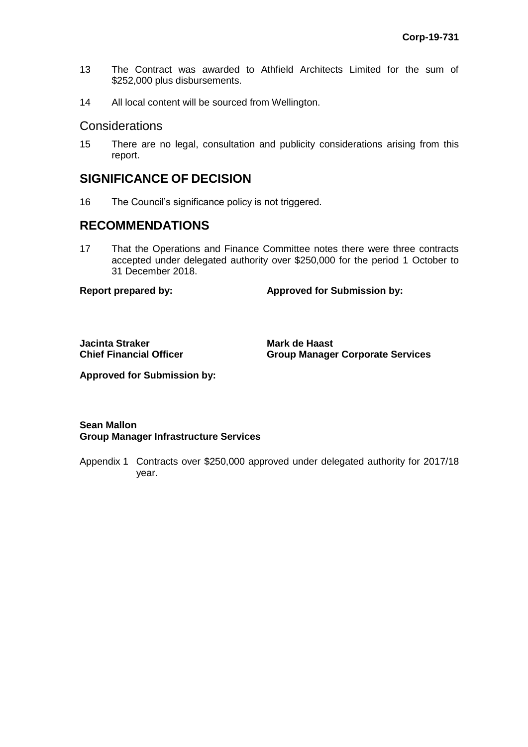- 13 The Contract was awarded to Athfield Architects Limited for the sum of \$252,000 plus disbursements.
- 14 All local content will be sourced from Wellington.

## **Considerations**

15 There are no legal, consultation and publicity considerations arising from this report.

## **SIGNIFICANCE OF DECISION**

16 The Council's significance policy is not triggered.

## **RECOMMENDATIONS**

17 That the Operations and Finance Committee notes there were three contracts accepted under delegated authority over \$250,000 for the period 1 October to 31 December 2018.

**Report prepared by: Approved for Submission by:**

**Jacinta Straker Chief Financial Officer**

**Mark de Haast Group Manager Corporate Services**

**Approved for Submission by:**

## **Sean Mallon Group Manager Infrastructure Services**

Appendix 1 Contracts over \$250,000 approved under delegated authority for 2017/18 year.